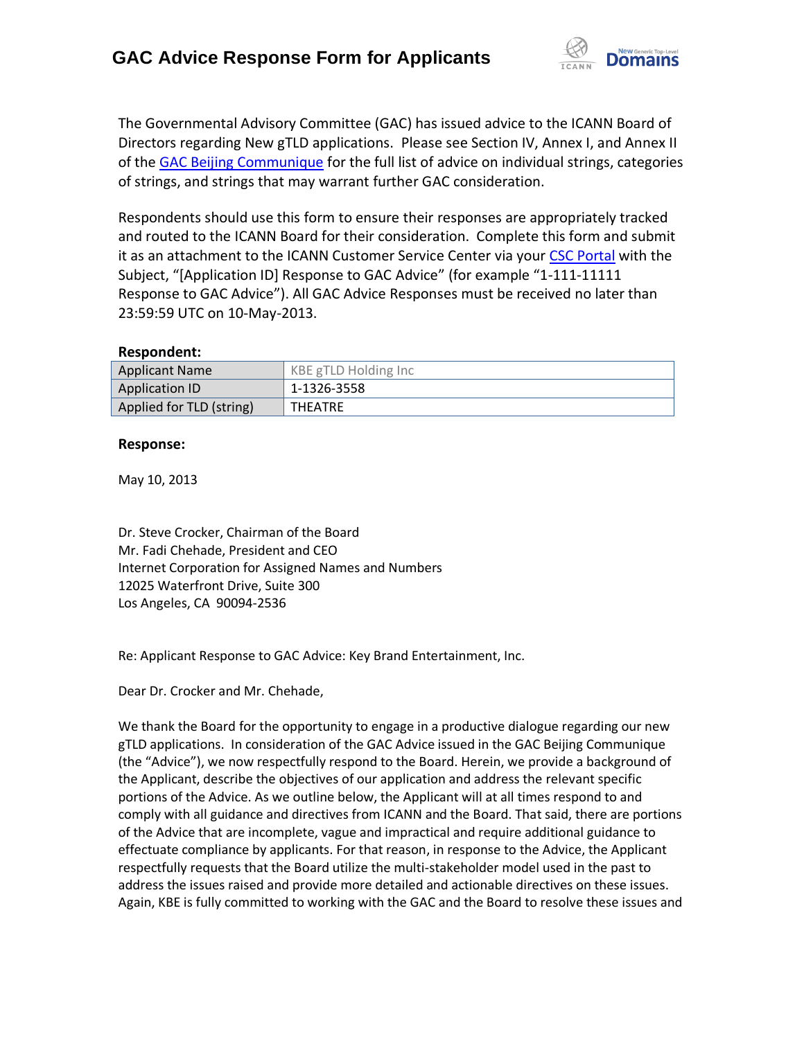

The Governmental Advisory Committee (GAC) has issued advice to the ICANN Board of Directors regarding New gTLD applications. Please see Section IV, Annex I, and Annex II of the [GAC Beijing Communique](http://www.icann.org/en/news/correspondence/gac-to-board-18apr13-en.pdf) for the full list of advice on individual strings, categories of strings, and strings that may warrant further GAC consideration.

Respondents should use this form to ensure their responses are appropriately tracked and routed to the ICANN Board for their consideration. Complete this form and submit it as an attachment to the ICANN Customer Service Center via your CSC [Portal](https://myicann.secure.force.com/) with the Subject, "[Application ID] Response to GAC Advice" (for example "1-111-11111 Response to GAC Advice"). All GAC Advice Responses must be received no later than 23:59:59 UTC on 10-May-2013.

#### **Respondent:**

| <b>Applicant Name</b>    | KBE gTLD Holding Inc |
|--------------------------|----------------------|
| Application ID           | 1-1326-3558          |
| Applied for TLD (string) | THEATRE              |

#### **Response:**

May 10, 2013

Dr. Steve Crocker, Chairman of the Board Mr. Fadi Chehade, President and CEO Internet Corporation for Assigned Names and Numbers 12025 Waterfront Drive, Suite 300 Los Angeles, CA 90094-2536

Re: Applicant Response to GAC Advice: Key Brand Entertainment, Inc.

Dear Dr. Crocker and Mr. Chehade,

We thank the Board for the opportunity to engage in a productive dialogue regarding our new gTLD applications. In consideration of the GAC Advice issued in the GAC Beijing Communique (the "Advice"), we now respectfully respond to the Board. Herein, we provide a background of the Applicant, describe the objectives of our application and address the relevant specific portions of the Advice. As we outline below, the Applicant will at all times respond to and comply with all guidance and directives from ICANN and the Board. That said, there are portions of the Advice that are incomplete, vague and impractical and require additional guidance to effectuate compliance by applicants. For that reason, in response to the Advice, the Applicant respectfully requests that the Board utilize the multi-stakeholder model used in the past to address the issues raised and provide more detailed and actionable directives on these issues. Again, KBE is fully committed to working with the GAC and the Board to resolve these issues and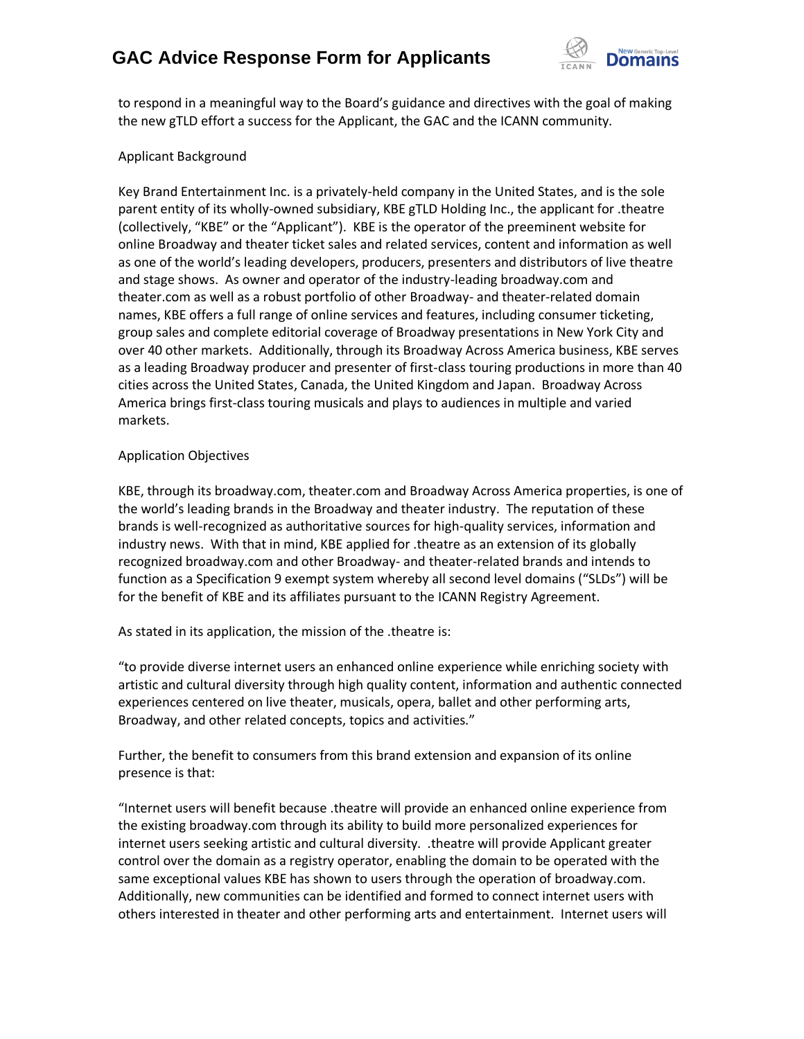# **GAC Advice Response Form for Applicants**



to respond in a meaningful way to the Board's guidance and directives with the goal of making the new gTLD effort a success for the Applicant, the GAC and the ICANN community.

### Applicant Background

Key Brand Entertainment Inc. is a privately-held company in the United States, and is the sole parent entity of its wholly-owned subsidiary, KBE gTLD Holding Inc., the applicant for .theatre (collectively, "KBE" or the "Applicant"). KBE is the operator of the preeminent website for online Broadway and theater ticket sales and related services, content and information as well as one of the world's leading developers, producers, presenters and distributors of live theatre and stage shows. As owner and operator of the industry-leading broadway.com and theater.com as well as a robust portfolio of other Broadway- and theater-related domain names, KBE offers a full range of online services and features, including consumer ticketing, group sales and complete editorial coverage of Broadway presentations in New York City and over 40 other markets. Additionally, through its Broadway Across America business, KBE serves as a leading Broadway producer and presenter of first-class touring productions in more than 40 cities across the United States, Canada, the United Kingdom and Japan. Broadway Across America brings first-class touring musicals and plays to audiences in multiple and varied markets.

### Application Objectives

KBE, through its broadway.com, theater.com and Broadway Across America properties, is one of the world's leading brands in the Broadway and theater industry. The reputation of these brands is well-recognized as authoritative sources for high-quality services, information and industry news. With that in mind, KBE applied for .theatre as an extension of its globally recognized broadway.com and other Broadway- and theater-related brands and intends to function as a Specification 9 exempt system whereby all second level domains ("SLDs") will be for the benefit of KBE and its affiliates pursuant to the ICANN Registry Agreement.

As stated in its application, the mission of the .theatre is:

"to provide diverse internet users an enhanced online experience while enriching society with artistic and cultural diversity through high quality content, information and authentic connected experiences centered on live theater, musicals, opera, ballet and other performing arts, Broadway, and other related concepts, topics and activities."

Further, the benefit to consumers from this brand extension and expansion of its online presence is that:

"Internet users will benefit because .theatre will provide an enhanced online experience from the existing broadway.com through its ability to build more personalized experiences for internet users seeking artistic and cultural diversity. .theatre will provide Applicant greater control over the domain as a registry operator, enabling the domain to be operated with the same exceptional values KBE has shown to users through the operation of broadway.com. Additionally, new communities can be identified and formed to connect internet users with others interested in theater and other performing arts and entertainment. Internet users will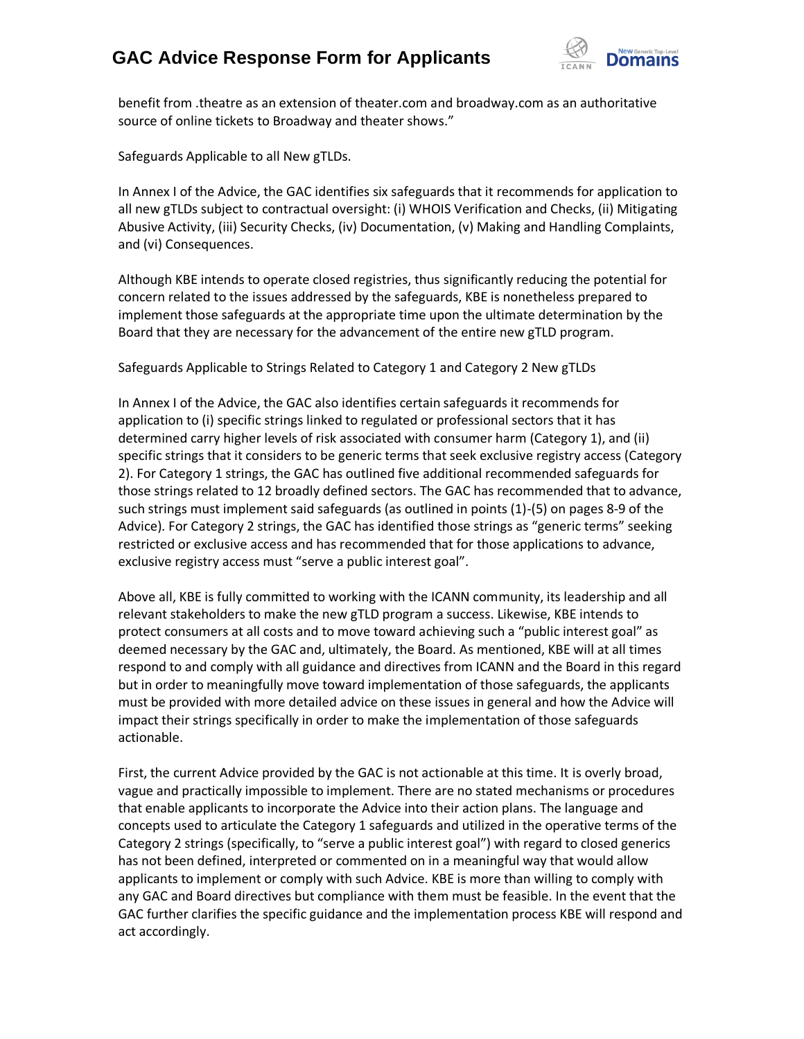## **GAC Advice Response Form for Applicants**



benefit from .theatre as an extension of theater.com and broadway.com as an authoritative source of online tickets to Broadway and theater shows."

Safeguards Applicable to all New gTLDs.

In Annex I of the Advice, the GAC identifies six safeguards that it recommends for application to all new gTLDs subject to contractual oversight: (i) WHOIS Verification and Checks, (ii) Mitigating Abusive Activity, (iii) Security Checks, (iv) Documentation, (v) Making and Handling Complaints, and (vi) Consequences.

Although KBE intends to operate closed registries, thus significantly reducing the potential for concern related to the issues addressed by the safeguards, KBE is nonetheless prepared to implement those safeguards at the appropriate time upon the ultimate determination by the Board that they are necessary for the advancement of the entire new gTLD program.

Safeguards Applicable to Strings Related to Category 1 and Category 2 New gTLDs

In Annex I of the Advice, the GAC also identifies certain safeguards it recommends for application to (i) specific strings linked to regulated or professional sectors that it has determined carry higher levels of risk associated with consumer harm (Category 1), and (ii) specific strings that it considers to be generic terms that seek exclusive registry access (Category 2). For Category 1 strings, the GAC has outlined five additional recommended safeguards for those strings related to 12 broadly defined sectors. The GAC has recommended that to advance, such strings must implement said safeguards (as outlined in points (1)-(5) on pages 8-9 of the Advice). For Category 2 strings, the GAC has identified those strings as "generic terms" seeking restricted or exclusive access and has recommended that for those applications to advance, exclusive registry access must "serve a public interest goal".

Above all, KBE is fully committed to working with the ICANN community, its leadership and all relevant stakeholders to make the new gTLD program a success. Likewise, KBE intends to protect consumers at all costs and to move toward achieving such a "public interest goal" as deemed necessary by the GAC and, ultimately, the Board. As mentioned, KBE will at all times respond to and comply with all guidance and directives from ICANN and the Board in this regard but in order to meaningfully move toward implementation of those safeguards, the applicants must be provided with more detailed advice on these issues in general and how the Advice will impact their strings specifically in order to make the implementation of those safeguards actionable.

First, the current Advice provided by the GAC is not actionable at this time. It is overly broad, vague and practically impossible to implement. There are no stated mechanisms or procedures that enable applicants to incorporate the Advice into their action plans. The language and concepts used to articulate the Category 1 safeguards and utilized in the operative terms of the Category 2 strings (specifically, to "serve a public interest goal") with regard to closed generics has not been defined, interpreted or commented on in a meaningful way that would allow applicants to implement or comply with such Advice. KBE is more than willing to comply with any GAC and Board directives but compliance with them must be feasible. In the event that the GAC further clarifies the specific guidance and the implementation process KBE will respond and act accordingly.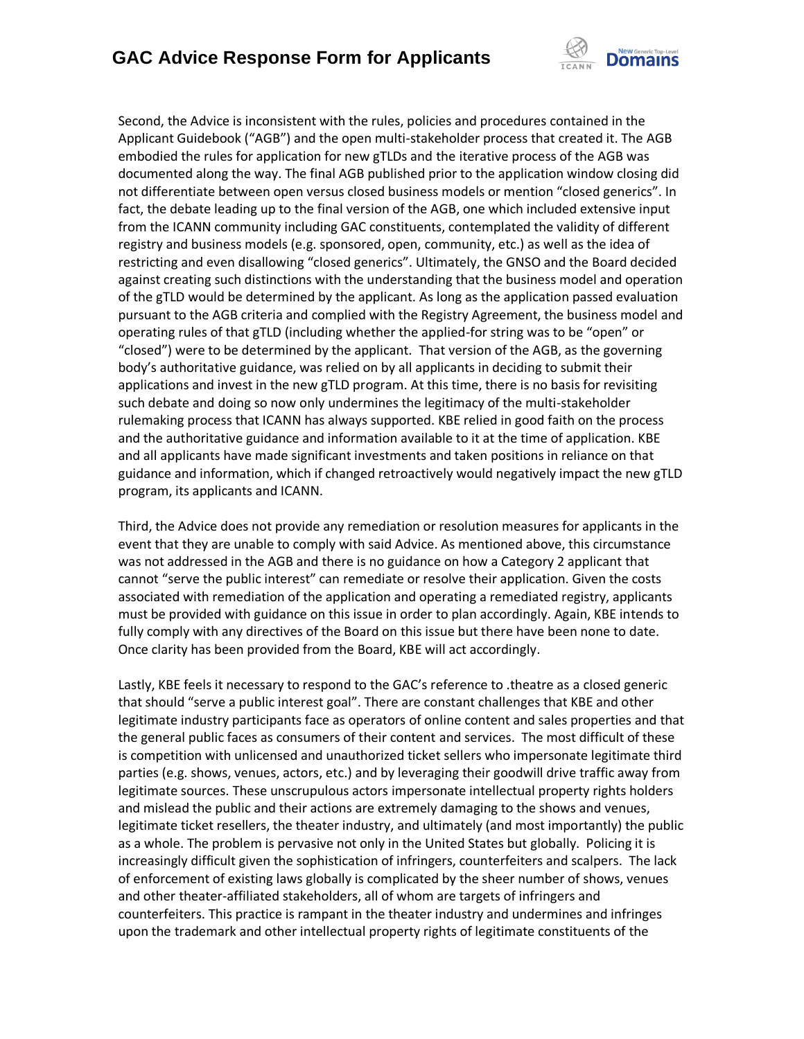

Second, the Advice is inconsistent with the rules, policies and procedures contained in the Applicant Guidebook ("AGB") and the open multi-stakeholder process that created it. The AGB embodied the rules for application for new gTLDs and the iterative process of the AGB was documented along the way. The final AGB published prior to the application window closing did not differentiate between open versus closed business models or mention "closed generics". In fact, the debate leading up to the final version of the AGB, one which included extensive input from the ICANN community including GAC constituents, contemplated the validity of different registry and business models (e.g. sponsored, open, community, etc.) as well as the idea of restricting and even disallowing "closed generics". Ultimately, the GNSO and the Board decided against creating such distinctions with the understanding that the business model and operation of the gTLD would be determined by the applicant. As long as the application passed evaluation pursuant to the AGB criteria and complied with the Registry Agreement, the business model and operating rules of that gTLD (including whether the applied-for string was to be "open" or "closed") were to be determined by the applicant. That version of the AGB, as the governing body's authoritative guidance, was relied on by all applicants in deciding to submit their applications and invest in the new gTLD program. At this time, there is no basis for revisiting such debate and doing so now only undermines the legitimacy of the multi-stakeholder rulemaking process that ICANN has always supported. KBE relied in good faith on the process and the authoritative guidance and information available to it at the time of application. KBE and all applicants have made significant investments and taken positions in reliance on that guidance and information, which if changed retroactively would negatively impact the new gTLD program, its applicants and ICANN.

Third, the Advice does not provide any remediation or resolution measures for applicants in the event that they are unable to comply with said Advice. As mentioned above, this circumstance was not addressed in the AGB and there is no guidance on how a Category 2 applicant that cannot "serve the public interest" can remediate or resolve their application. Given the costs associated with remediation of the application and operating a remediated registry, applicants must be provided with guidance on this issue in order to plan accordingly. Again, KBE intends to fully comply with any directives of the Board on this issue but there have been none to date. Once clarity has been provided from the Board, KBE will act accordingly.

Lastly, KBE feels it necessary to respond to the GAC's reference to .theatre as a closed generic that should "serve a public interest goal". There are constant challenges that KBE and other legitimate industry participants face as operators of online content and sales properties and that the general public faces as consumers of their content and services. The most difficult of these is competition with unlicensed and unauthorized ticket sellers who impersonate legitimate third parties (e.g. shows, venues, actors, etc.) and by leveraging their goodwill drive traffic away from legitimate sources. These unscrupulous actors impersonate intellectual property rights holders and mislead the public and their actions are extremely damaging to the shows and venues, legitimate ticket resellers, the theater industry, and ultimately (and most importantly) the public as a whole. The problem is pervasive not only in the United States but globally. Policing it is increasingly difficult given the sophistication of infringers, counterfeiters and scalpers. The lack of enforcement of existing laws globally is complicated by the sheer number of shows, venues and other theater-affiliated stakeholders, all of whom are targets of infringers and counterfeiters. This practice is rampant in the theater industry and undermines and infringes upon the trademark and other intellectual property rights of legitimate constituents of the